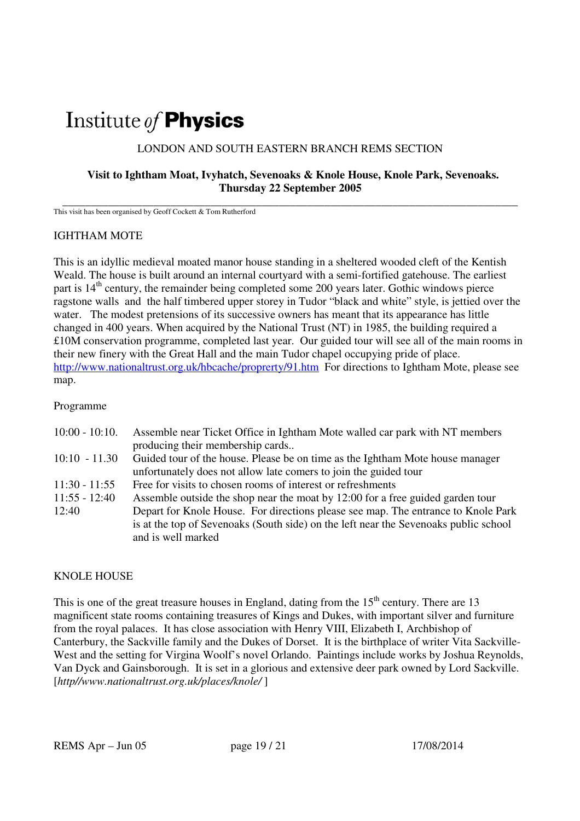# Institute of **Physics**

# LONDON AND SOUTH EASTERN BRANCH REMS SECTION

## **Visit to Ightham Moat, Ivyhatch, Sevenoaks & Knole House, Knole Park, Sevenoaks. Thursday 22 September 2005**

**\_\_\_\_\_\_\_\_\_\_\_\_\_\_\_\_\_\_\_\_\_\_\_\_\_\_\_\_\_\_\_\_\_\_\_\_\_\_\_\_\_\_\_\_\_\_\_\_\_\_\_\_\_\_\_\_\_\_\_\_\_\_\_\_\_\_\_\_\_\_\_\_\_\_\_\_\_\_\_\_**  This visit has been organised by Geoff Cockett & Tom Rutherford

#### IGHTHAM MOTE

This is an idyllic medieval moated manor house standing in a sheltered wooded cleft of the Kentish Weald. The house is built around an internal courtyard with a semi-fortified gatehouse. The earliest part is  $14<sup>th</sup>$  century, the remainder being completed some 200 years later. Gothic windows pierce ragstone walls and the half timbered upper storey in Tudor "black and white" style, is jettied over the water. The modest pretensions of its successive owners has meant that its appearance has little changed in 400 years. When acquired by the National Trust (NT) in 1985, the building required a £10M conservation programme, completed last year. Our guided tour will see all of the main rooms in their new finery with the Great Hall and the main Tudor chapel occupying pride of place. http://www.nationaltrust.org.uk/hbcache/proprerty/91.htm For directions to Ightham Mote, please see map.

#### Programme

| $10:00 - 10:10.$ | Assemble near Ticket Office in Ightham Mote walled car park with NT members          |
|------------------|--------------------------------------------------------------------------------------|
|                  | producing their membership cards                                                     |
| $10:10 - 11.30$  | Guided tour of the house. Please be on time as the Ightham Mote house manager        |
|                  | unfortunately does not allow late comers to join the guided tour                     |
| $11:30 - 11:55$  | Free for visits to chosen rooms of interest or refreshments                          |
| $11:55 - 12:40$  | Assemble outside the shop near the moat by 12:00 for a free guided garden tour       |
| 12:40            | Depart for Knole House. For directions please see map. The entrance to Knole Park    |
|                  | is at the top of Sevenoaks (South side) on the left near the Sevenoaks public school |
|                  | and is well marked                                                                   |

## KNOLE HOUSE

This is one of the great treasure houses in England, dating from the  $15<sup>th</sup>$  century. There are 13 magnificent state rooms containing treasures of Kings and Dukes, with important silver and furniture from the royal palaces. It has close association with Henry VIII, Elizabeth I, Archbishop of Canterbury, the Sackville family and the Dukes of Dorset. It is the birthplace of writer Vita Sackville-West and the setting for Virgina Woolf's novel Orlando. Paintings include works by Joshua Reynolds, Van Dyck and Gainsborough. It is set in a glorious and extensive deer park owned by Lord Sackville. [*http//www.nationaltrust.org.uk/places/knole/* ]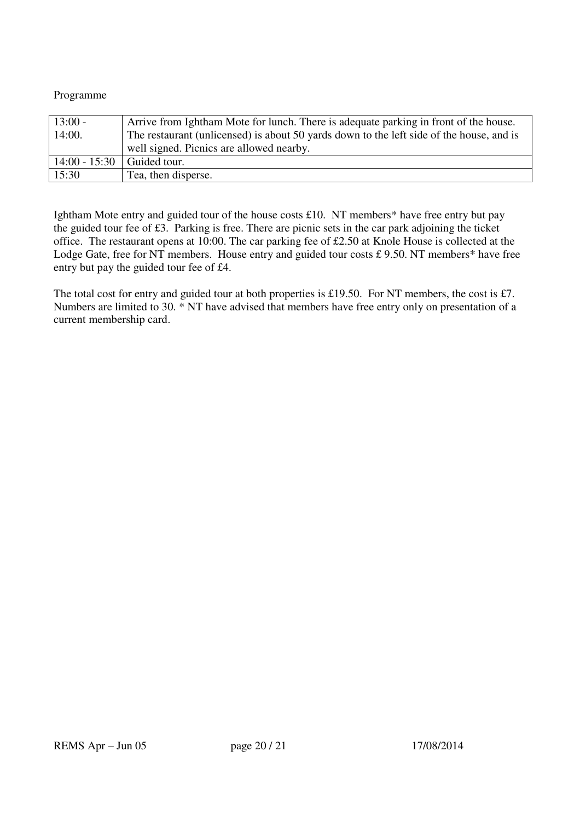Programme

| $13:00 -$                  | Arrive from Ightham Mote for lunch. There is adequate parking in front of the house.     |
|----------------------------|------------------------------------------------------------------------------------------|
| 14:00.                     | The restaurant (unlicensed) is about 50 yards down to the left side of the house, and is |
|                            | well signed. Picnics are allowed nearby.                                                 |
| 14:00 - 15:30 Guided tour. |                                                                                          |
| 15:30                      | Tea, then disperse.                                                                      |

Ightham Mote entry and guided tour of the house costs £10. NT members<sup>\*</sup> have free entry but pay the guided tour fee of £3. Parking is free. There are picnic sets in the car park adjoining the ticket office. The restaurant opens at 10:00. The car parking fee of £2.50 at Knole House is collected at the Lodge Gate, free for NT members. House entry and guided tour costs £9.50. NT members<sup>\*</sup> have free entry but pay the guided tour fee of £4.

The total cost for entry and guided tour at both properties is £19.50. For NT members, the cost is £7. Numbers are limited to 30. \* NT have advised that members have free entry only on presentation of a current membership card.